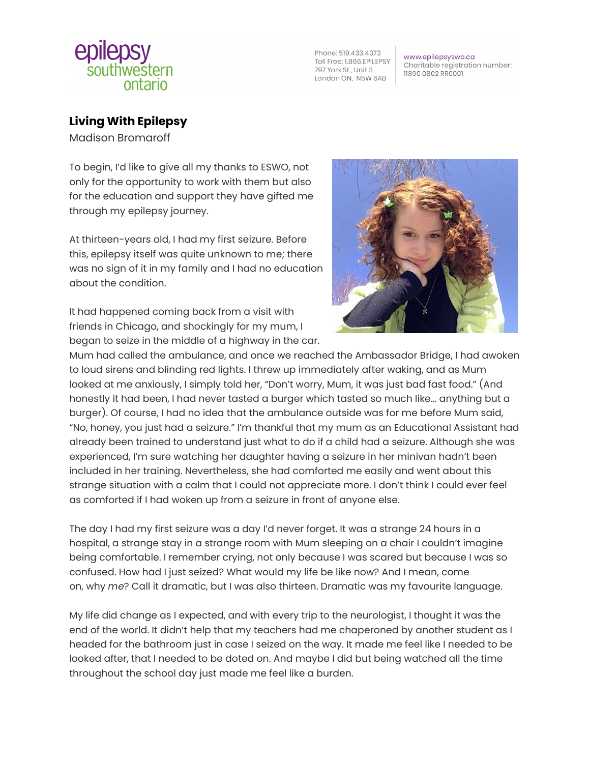

Phone: 519.433.4073 Toll Free: 1.866.EPILEPSY 797 York St., Unit 3 London ON, N5W 6A8

www.epilepsyswo.ca Charitable registration number: 11890 0802 RR0001

## **Living With Epilepsy**

Madison Bromaroff

To begin, I'd like to give all my thanks to ESWO, not only for the opportunity to work with them but also for the education and support they have gifted me through my epilepsy journey.

At thirteen-years old, I had my first seizure. Before this, epilepsy itself was quite unknown to me; there was no sign of it in my family and I had no education about the condition.

It had happened coming back from a visit with friends in Chicago, and shockingly for my mum, I began to seize in the middle of a highway in the car.



Mum had called the ambulance, and once we reached the Ambassador Bridge, I had awoken to loud sirens and blinding red lights. I threw up immediately after waking, and as Mum looked at me anxiously, I simply told her, "Don't worry, Mum, it was just bad fast food." (And honestly it had been, I had never tasted a burger which tasted so much like... anything but a burger). Of course, I had no idea that the ambulance outside was for me before Mum said, "No, honey, you just had a seizure." I'm thankful that my mum as an Educational Assistant had already been trained to understand just what to do if a child had a seizure. Although she was experienced, I'm sure watching her daughter having a seizure in her minivan hadn't been included in her training. Nevertheless, she had comforted me easily and went about this strange situation with a calm that I could not appreciate more. I don't think I could ever feel as comforted if I had woken up from a seizure in front of anyone else.

The day I had my first seizure was a day I'd never forget. It was a strange 24 hours in a hospital, a strange stay in a strange room with Mum sleeping on a chair I couldn't imagine being comfortable. I remember crying, not only because I was scared but because I was so confused. How had I just seized? What would my life be like now? And I mean, come on, why *me*? Call it dramatic, but I was also thirteen. Dramatic was my favourite language.

My life did change as I expected, and with every trip to the neurologist, I thought it was the end of the world. It didn't help that my teachers had me chaperoned by another student as I headed for the bathroom just in case I seized on the way. It made me feel like I needed to be looked after, that I needed to be doted on. And maybe I did but being watched all the time throughout the school day just made me feel like a burden.